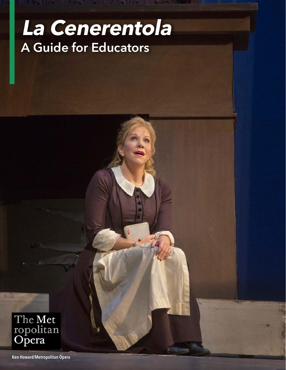# **La Cenerentola** A Guide for Educators

*<u>CONSTRUCTION</u>* 

The Met<br>ropolitan<br>Opera

Ken Howard/Metropolitan Opera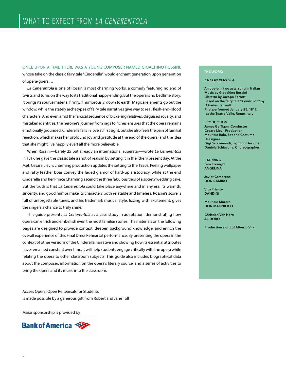ONCE UPON A TIME THERE WAS A YOUNG COMPOSER NAMED GIOACHINO ROSSINI, whose take on the classic fairy tale "Cinderella" would enchant generation upon generation of opera-goers …

La Cenerentola is one of Rossini's most charming works, a comedy featuring no end of twists and turns on the way to its traditional happy ending. But the opera is no bedtime story: It brings its source material firmly, if humorously, down to earth. Magical elements go out the window, while the stately archetypes of fairy tale narratives give way to real, flesh-and-blood characters. And even amid the farcical sequence of bickering relatives, disguised royalty, and mistaken identities, the heroine's journey from rags to riches ensures that the opera remains emotionally grounded. Cinderella falls in love at first sight, but she also feels the pain of familial rejection, which makes her profound joy and gratitude at the end of the opera (and the idea that she might live happily ever) all the more believable.

When Rossini—barely 25 but already an international superstar—wrote La Cenerentola in 1817, he gave the classic tale a shot of realism by setting it in the (then) present day. At the Met, Cesare Lievi's charming production updates the setting to the 1920s: Peeling wallpaper and ratty feather boas convey the faded glamor of hard-up aristocracy, while at the end Cinderella and her Prince Charming ascend the three fabulous tiers of a society wedding cake. But the truth is that La Cenerentola could take place anywhere and in any era. Its warmth, sincerity, and good humor make its characters both relatable and timeless. Rossini's score is full of unforgettable tunes, and his trademark musical style, fizzing with excitement, gives the singers a chance to truly shine.

This quide presents La Cenerentola as a case study in adaptation, demonstrating how opera can enrich and embellish even the most familiar stories. The materials on the following pages are designed to provide context, deepen background knowledge, and enrich the overall experience of this Final Dress Rehearsal performance. By presenting the opera in the context of other versions of the Cinderella narrative and showing how its essential attributes have remained constant over time, it will help students engage critically with the opera while relating the opera to other classroom subjects. This guide also includes biographical data about the composer, information on the opera's literary source, and a series of activities to bring the opera and its music into the classroom.

Access Opera: Open Rehearsals for Students is made possible by a generous gift from Robert and Jane Toll

Major sponsorship is provided by



### THE WORK:

### LA CENERENTOLA

An opera in two acts, sung in Italian Music by Gioachino Rossini Libretto by Jacopo Ferretti Based on the fairy tale "Cendrillon" by Charles Perrault First performed January 25, 1817, at the Teatro Valle, Rome, Italy

#### PRODUCTION

James Gaffigan, Conductor Cesare Lievi, Production Maurizio Balò, Set and Costume Designer Gigi Saccomandi, Lighting Designer Daniela Schiavone, Choreographer

STARRING Tara Erraught ANGELINA

Javier Camarena DON RAMIRO

Vito Priante DANDINI

Maurizio Muraro DON MAGNIFICO

Christian Van Horn ALIDORO

Production a gift of Alberto Vilar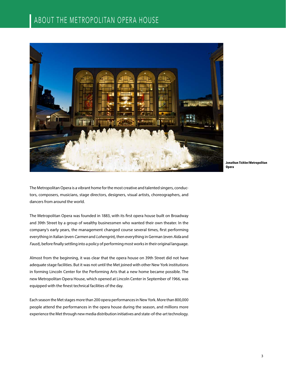

**Jonathan Tichler/Metropolitan Opera**

The Metropolitan Opera is a vibrant home for the most creative and talented singers, conductors, composers, musicians, stage directors, designers, visual artists, choreographers, and dancers from around the world.

The Metropolitan Opera was founded in 1883, with its first opera house built on Broadway and 39th Street by a group of wealthy businessmen who wanted their own theater. In the company's early years, the management changed course several times, first performing everything in Italian (even Carmen and Lohengrin), then everything in German (even Aida and Faust), before finally settling into a policy of performing most works in their original language.

Almost from the beginning, it was clear that the opera house on 39th Street did not have adequate stage facilities. But it was not until the Met joined with other New York institutions in forming Lincoln Center for the Performing Arts that a new home became possible. The new Metropolitan Opera House, which opened at Lincoln Center in September of 1966, was equipped with the finest technical facilities of the day.

Each season the Met stages more than 200 opera performances in New York. More than 800,000 people attend the performances in the opera house during the season, and millions more experience the Met through new media distribution initiatives and state-of-the-art technology.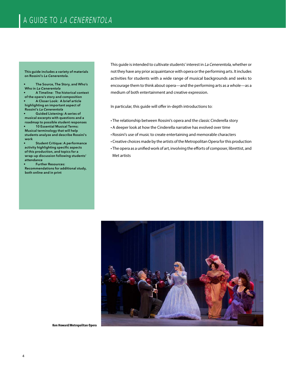This guide includes a variety of materials on Rossini's La Cenerentola.

• The Source, The Story, and Who's Who in La Cenerentola

• A Timeline: The historical context of the opera's story and composition • A Closer Look: A brief article highlighting an important aspect of Rossini's La Cenerentola

Guided Listening: A series of musical excerpts with questions and a roadmap to possible student responses

• 10 Essential Musical Terms: Musical terminology that will help students analyze and describe Rossini's work

Student Critique: A performance activity highlighting specific aspects of this production, and topics for a wrap-up discussion following students' attendance

• Further Resources: Recommendations for additional study, both online and in print

This guide is intended to cultivate students' interest in La Cenerentola, whether or not they have any prior acquaintance with opera or the performing arts. It includes activities for students with a wide range of musical backgrounds and seeks to encourage them to think about opera—and the performing arts as a whole—as a medium of both entertainment and creative expression.

In particular, this guide will offer in-depth introductions to:

- The relationship between Rossini's opera and the classic Cinderella story
- A deeper look at how the Cinderella narrative has evolved over time
- Rossini's use of music to create entertaining and memorable characters
- Creative choices made by the artists of the Metropolitan Opera for this production
- The opera as a unified work of art, involving the efforts of composer, librettist, and Met artists



**Ken Howard/Metropolitan Opera**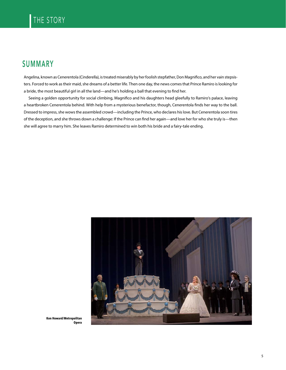# SUMMARY

Angelina, known as Cenerentola (Cinderella), is treated miserably by her foolish stepfather, Don Magnifico, and her vain stepsisters. Forced to work as their maid, she dreams of a better life. Then one day, the news comes that Prince Ramiro is looking for a bride, the most beautiful girl in all the land—and he's holding a ball that evening to find her.

Seeing a golden opportunity for social climbing, Magnifico and his daughters head gleefully to Ramiro's palace, leaving a heartbroken Cenerentola behind. With help from a mysterious benefactor, though, Cenerentola finds her way to the ball. Dressed to impress, she wows the assembled crowd—including the Prince, who declares his love. But Cenerentola soon tires of the deception, and she throws down a challenge: If the Prince can find her again—and love her for who she truly is—then she will agree to marry him. She leaves Ramiro determined to win both his bride and a fairy-tale ending.



**Ken Howard/Metropolitan Opera**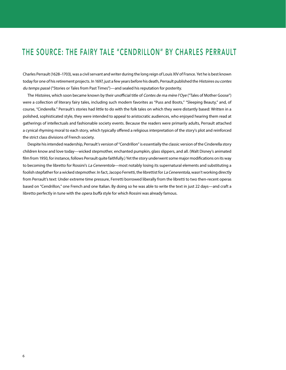## THE SOURCE: THE FAIRY TALE "CENDRILLON" BY CHARLES PERRAULT

Charles Perrault (1628–1703), was a civil servant and writer during the long reign of Louis XIV of France. Yet he is best known today for one of his retirement projects. In 1697, just a few years before his death, Perrault published the Histoires ou contes du temps passé ("Stories or Tales from Past Times")—and sealed his reputation for posterity.

The Histoires, which soon became known by their unofficial title of Contes de ma mère l'Oye ("Tales of Mother Goose") were a collection of literary fairy tales, including such modern favorites as "Puss and Boots," "Sleeping Beauty," and, of course, "Cinderella." Perrault's stories had little to do with the folk tales on which they were distantly based: Written in a polished, sophisticated style, they were intended to appeal to aristocratic audiences, who enjoyed hearing them read at gatherings of intellectuals and fashionable society events. Because the readers were primarily adults, Perrault attached a cynical rhyming moral to each story, which typically offered a religious interpretation of the story's plot and reinforced the strict class divisions of French society.

Despite his intended readership, Perrault's version of "Cendrillon" is essentially the classic version of the Cinderella story children know and love today—wicked stepmother, enchanted pumpkin, glass slippers, and all. (Walt Disney's animated film from 1950, for instance, follows Perrault quite faithfully.) Yet the story underwent some major modifications on its way to becoming the libretto for Rossini's La Cenerentola—most notably losing its supernatural elements and substituting a foolish stepfather for a wicked stepmother. In fact, Jacopo Ferretti, the librettist for La Cenerentola, wasn't working directly from Perrault's text: Under extreme time pressure, Ferretti borrowed liberally from the libretti to two then-recent operas based on "Cendrillon," one French and one Italian. By doing so he was able to write the text in just 22 days—and craft a libretto perfectly in tune with the opera buffa style for which Rossini was already famous.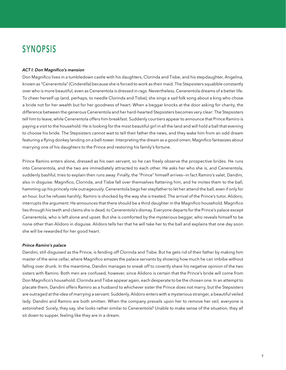# SYNOPSIS

### *ACT I: Don Magnifico's mansion*

Don Magnifico lives in a tumbledown castle with his daughters, Clorinda and Tisbe, and his stepdaughter, Angelina, known as "Cenerentola" (Cinderella) because she is forced to work as their maid. The Stepsisters squabble constantly over who is more beautiful, even as Cenerentola is dressed in rags. Nevertheless, Cenerentola dreams of a better life. To cheer herself up (and, perhaps, to needle Clorinda and Tisbe), she sings a sad folk song about a king who chose a bride not for her wealth but for her goodness of heart. When a beggar knocks at the door asking for charity, the difference between the generous Cenerentola and her hard-hearted Stepsisters becomes very clear: The Stepsisters tell him to leave, while Cenerentola offers him breakfast. Suddenly courtiers appear to announce that Prince Ramiro is paying a visit to the household. He is looking for the most beautiful girl in all the land and will hold a ball that evening to choose his bride. The Stepsisters cannot wait to tell their father the news, and they wake him from an odd dream featuring a flying donkey landing on a bell-tower. Interpreting the dream as a good omen, Magnifico fantasizes about marrying one of his daughters to the Prince and restoring his family's fortune.

Prince Ramiro enters alone, dressed as his own servant, so he can freely observe the prospective brides. He runs into Cenerentola, and the two are immediately attracted to each other. He asks her who she is, and Cenerentola, suddenly bashful, tries to explain then runs away. Finally, the "Prince" himself arrives—in fact Ramiro's valet, Dandini, also in disguise. Magnifico, Clorinda, and Tisbe fall over themselves flattering him, and he invites them to the ball, hamming up his princely role outrageously. Cenerentola begs her stepfather to let her attend the ball, even if only for an hour, but he refuses harshly; Ramiro is shocked by the way she is treated. The arrival of the Prince's tutor, Alidoro, interrupts the argument: He announces that there should be a third daughter in the Magnifico household. Magnifico lies through his teeth and claims she is dead, to Cenerentola's dismay. Everyone departs for the Prince's palace except Cenerentola, who is left alone and upset. But she is comforted by the mysterious beggar, who reveals himself to be none other than Alidoro in disguise. Alidoro tells her that he will take her to the ball and explains that one day soon she will be rewarded for her good heart.

### *Prince Ramiro's palace*

Dandini, still disguised as the Prince, is fending off Clorinda and Tisbe. But he gets rid of their father by making him master of the wine cellar, where Magnifico amazes the palace servants by showing how much he can imbibe without falling over drunk. In the meantime, Dandini manages to sneak off to covertly share his negative opinion of the two sisters with Ramiro. Both men are confused, however, since Alidoro is certain that the Prince's bride will come from Don Magnifico's household. Clorinda and Tisbe appear again, each desperate to be the chosen one. In an attempt to placate them, Dandini offers Ramiro as a husband to whichever sister the Prince does not marry, but the Stepsisters are outraged at the idea of marrying a servant. Suddenly, Alidoro enters with a mysterious stranger, a beautiful veiled lady. Dandini and Ramiro are both smitten. When the company prevails upon her to remove her veil, everyone is astonished: Surely, they say, she looks rather similar to Cenerentola? Unable to make sense of the situation, they all sit down to supper, feeling like they are in a dream.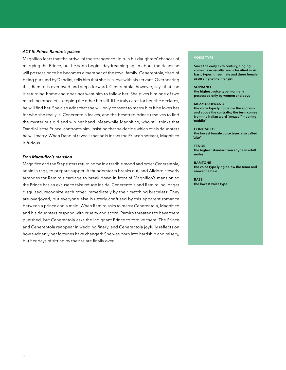### *ACT II: Prince Ramiro's palace*

Magnifico fears that the arrival of the stranger could ruin his daughters' chances of marrying the Prince, but he soon begins daydreaming again about the riches he will possess once he becomes a member of the royal family. Cenerentola, tired of being pursued by Dandini, tells him that she is in love with his servant. Overhearing this, Ramiro is overjoyed and steps forward. Cenerentola, however, says that she is returning home and does not want him to follow her. She gives him one of two matching bracelets, keeping the other herself. If he truly cares for her, she declares, he will find her. She also adds that she will only consent to marry him if he loves her for who she really is. Cenerentola leaves, and the besotted prince resolves to find the mysterious girl and win her hand. Meanwhile Magnifico, who still thinks that Dandini is the Prince, confronts him, insisting that he decide which of his daughters he will marry. When Dandini reveals that he is in fact the Prince's servant, Magnifico is furious.

### *Don Magnifico's mansion*

Magnifico and the Stepsisters return home in a terrible mood and order Cenerentola, again in rags, to prepare supper. A thunderstorm breaks out, and Alidoro cleverly arranges for Ramiro's carriage to break down in front of Magnifico's mansion so the Prince has an excuse to take refuge inside. Cenerentola and Ramiro, no longer disguised, recognize each other immediately by their matching bracelets: They are overjoyed, but everyone else is utterly confused by this apparent romance between a prince and a maid. When Ramiro asks to marry Cenerentola, Magnifico and his daughters respond with cruelty and scorn. Ramiro threatens to have them punished, but Cenerentola asks the indignant Prince to forgive them. The Prince and Cenerentola reappear in wedding finery, and Cenerentola joyfully reflects on how suddenly her fortunes have changed: She was born into hardship and misery, but her days of sitting by the fire are finally over.

### VOICE TYPE

Since the early 19th century, singing voices have usually been classified in six basic types, three male and three female, according to their range:

#### SOPRANO the highest voice type, normally

possessed only by women and boys

#### MEZZO-SOPRANO

the voice type lying below the soprano and above the contralto; the term comes from the Italian word "mezzo," meaning "middle"

#### CONTRALTO

the lowest female voice type, also called "alto"

**TENOR** the highest standard voice type in adult males

BARITONE the voice type lying below the tenor and above the bass

**BASS** the lowest voice type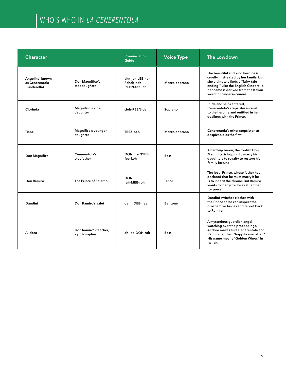# WHO'S WHO IN LA CENERENTOLA

| <b>Character</b>                                  |                                        | <b>Pronunciation</b><br>Guide                  | <b>Voice Type</b> | <b>The Lowdown</b>                                                                                                                                                                                                            |
|---------------------------------------------------|----------------------------------------|------------------------------------------------|-------------------|-------------------------------------------------------------------------------------------------------------------------------------------------------------------------------------------------------------------------------|
| Angelina, known<br>as Cenerentola<br>(Cinderella) | Don Magnifico's<br>stepdaughter        | ahn-jeh-LEE-nah<br>/ cheh-neh-<br>REHN-toh-lah | Mezzo-soprano     | The beautiful and kind heroine is<br>cruelly mistreated by her family, but<br>she ultimately finds a "fairy-tale<br>ending." Like the English Cinderella,<br>her name is derived from the Italian<br>word for cinders-cenere. |
| Clorinda                                          | Magnifico's elder<br>daughter          | cloh-REEN-dah                                  | Soprano           | Rude and self-centered,<br>Cenerentola's stepsister is cruel<br>to the heroine and entitled in her<br>dealings with the Prince.                                                                                               |
| Tisbe                                             | Magnifico's younger<br>daughter        | TEEZ-beh                                       | Mezzo-soprano     | Cenerentola's other stepsister, as<br>despicable as the first.                                                                                                                                                                |
| Don Magnifico                                     | Cenerentola's<br>stepfather            | DON ma-NYFF-<br>fee-koh                        | <b>Bass</b>       | A hard-up baron, the foolish Don<br>Magnifico is hoping to marry his<br>daughters to royalty to restore his<br>family fortune.                                                                                                |
| Don Ramiro                                        | The Prince of Salerno                  | <b>DON</b><br>rah-MEE-roh                      | Tenor             | The local Prince, whose father has<br>declared that he must marry if he<br>is to inherit the throne. But Ramiro<br>wants to marry for love rather than<br>for power.                                                          |
| Dandini                                           | Don Ramiro's valet                     | dahn-DEE-nee                                   | <b>Baritone</b>   | Dandini switches clothes with<br>the Prince so he can inspect the<br>prospective brides and report back<br>to Ramiro.                                                                                                         |
| Alidoro                                           | Don Ramiro's teacher.<br>a philosopher | ah-lee-DOH-roh                                 | <b>Bass</b>       | A mysterious guardian angel<br>watching over the proceedings,<br>Alidoro makes sure Cenerentola and<br>Ramiro get their "happily ever after."<br>His name means "Golden Wings" in<br>Italian.                                 |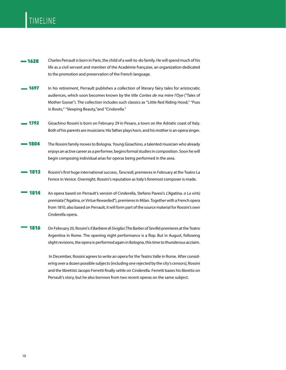# TIMELINE

- $-1628$ Charles Perrault is born in Paris, the child of a well-to-do family. He will spend much of his life as a civil servant and member of the Académie française, an organization dedicated to the promotion and preservation of the French language.
- 1697 In his retirement, Perrault publishes a collection of literary fairy tales for aristocratic audiences, which soon becomes known by the title Contes de ma mère l'Oye ("Tales of Mother Goose"). The collection includes such classics as "Little Red Riding Hood," "Puss in Boots," "Sleeping Beauty,"and "Cinderella."
- 1792 Gioachino Rossini is born on February 29 in Pesaro, a town on the Adriatic coast of Italy. Both of his parents are musicians: His father plays horn, and his mother is an opera singer.
- The Rossini family moves to Bologna. Young Gioachino, a talented musician who already enjoys an active career as a performer, begins formal studies in composition. Soon he will begin composing individual arias for operas being performed in the area. 1804
- Rossini's first huge international success, Tancredi, premieres in February at the Teatro La Fenice in Venice. Overnight, Rossini's reputation as Italy's foremost composer is made. 1813
- An opera based on Perrault's version of Cinderella, Stefano Pavesi's L'Agatina, o La virtù premiata ("Agatina, or Virtue Rewarded"), premieres in Milan. Together with a French opera from 1810, also based on Perrault, it will form part of the source material for Rossini's own Cinderella opera. 1814
- On February 20, Rossini's Il Barbiere di Siviglia (The Barber of Seville) premieres at the Teatro Argentina in Rome. The opening night performance is a flop. But in August, following slight revisions, the opera is performed again in Bologna, this time to thunderous acclaim. 1816

 In December, Rossini agrees to write an opera for the Teatro Valle in Rome. After considering over a dozen possible subjects (including one rejected by the city's censors), Rossini and the librettist Jacopo Ferretti finally settle on Cinderella. Ferretti bases his libretto on Perrault's story, but he also borrows from two recent operas on the same subject.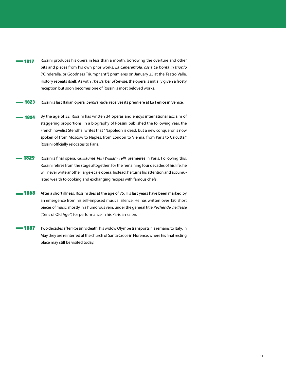- Rossini produces his opera in less than a month, borrowing the overture and other bits and pieces from his own prior works. La Cenerentola, ossia La bontà in trionfo ("Cinderella, or Goodness Triumphant") premieres on January 25 at the Teatro Valle. History repeats itself: As with The Barber of Seville, the opera is initially given a frosty reception but soon becomes one of Rossini's most beloved works. 1817
- Rossini's last Italian opera, Semiramide, receives its premiere at La Fenice in Venice. 1823
- By the age of 32, Rossini has written 34 operas and enjoys international acclaim of staggering proportions. In a biography of Rossini published the following year, the French novelist Stendhal writes that "Napoleon is dead, but a new conqueror is now spoken of from Moscow to Naples, from London to Vienna, from Paris to Calcutta." Rossini officially relocates to Paris. 1824
- Rossini's final opera, Guillaume Tell (William Tell), premieres in Paris. Following this, Rossini retires from the stage altogether; for the remaining four decades of his life, he will never write another large-scale opera. Instead, he turns his attention and accumulated wealth to cooking and exchanging recipes with famous chefs. 1829
- After a short illness, Rossini dies at the age of 76. His last years have been marked by an emergence from his self-imposed musical silence: He has written over 150 short pieces of music, mostly in a humorous vein, under the general title Péchés de vieillesse ("Sins of Old Age") for performance in his Parisian salon. 1868
- Two decades after Rossini's death, his widow Olympe transports his remains to Italy. In May they are reinterred at the church of Santa Croce in Florence, where his final resting place may still be visited today. 1887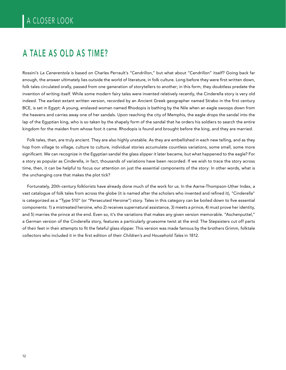# A TALE AS OLD AS TIME?

Rossini's La Cenerentola is based on Charles Perrault's "Cendrillon," but what about "Cendrillon" itself? Going back far enough, the answer ultimately lies outside the world of literature, in folk culture. Long before they were first written down, folk tales circulated orally, passed from one generation of storytellers to another; in this form, they doubtless predate the invention of writing itself. While some modern fairy tales were invented relatively recently, the Cinderella story is very old indeed. The earliest extant written version, recorded by an Ancient Greek geographer named Strabo in the first century BCE, is set in Egypt: A young, enslaved woman named Rhodopis is bathing by the Nile when an eagle swoops down from the heavens and carries away one of her sandals. Upon reaching the city of Memphis, the eagle drops the sandal into the lap of the Egyptian king, who is so taken by the shapely form of the sandal that he orders his soldiers to search the entire kingdom for the maiden from whose foot it came. Rhodopis is found and brought before the king, and they are married.

Folk tales, then, are truly ancient. They are also highly unstable. As they are embellished in each new telling, and as they hop from village to village, culture to culture, individual stories accumulate countless variations, some small, some more significant. We can recognize in the Egyptian sandal the glass slipper it later became, but what happened to the eagle? For a story as popular as Cinderella, in fact, thousands of variations have been recorded. If we wish to trace the story across time, then, it can be helpful to focus our attention on just the essential components of the story: In other words, what is the unchanging core that makes the plot tick?

Fortunately, 20th-century folklorists have already done much of the work for us. In the Aarne-Thompson-Uther Index, a vast catalogue of folk tales from across the globe (it is named after the scholars who invented and refined it), "Cinderella" is categorized as a "Type 510" (or "Persecuted Heroine") story. Tales in this category can be boiled down to five essential components: 1) a mistreated heroine, who 2) receives supernatural assistance, 3) meets a prince, 4) must prove her identity, and 5) marries the prince at the end. Even so, it's the variations that makes any given version memorable. "Aschenputtel," a German version of the Cinderella story, features a particularly gruesome twist at the end: The Stepsisters cut off parts of their feet in their attempts to fit the fateful glass slipper. This version was made famous by the brothers Grimm, folktale collectors who included it in the first edition of their Children's and Household Tales in 1812.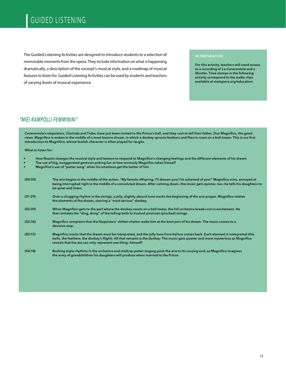# GUIDED LISTENING

The Guided Listening Activities are designed to introduce students to a selection of memorable moments from the opera. They include information on what is happening dramatically, a description of the excerpt's musical style, and a roadmap of musical features to listen for. Guided Listening Activities can be used by students and teachers of varying levels of musical experience.

#### IN PREPARATION

For this activity, teachers will need access to a recording of La Cenerentola and a libretto. Time stamps in the following activity correspond to the audio clips available at metopera.org/education.

### ["MIEI RAMPOLLI FEMMININI"](https://www.metopera.org/globalassets/discover/education/audio-files/cenerentola/cenerentola.miei-rampolli-femminini.mp3)

Cenerentola's stepsisters, Clorinda and Tisbe, have just been invited to the Prince's ball, and they rush to tell their father, Don Magnifico, the good news. Magnifico is woken in the middle of a most bizarre dream, in which a donkey sprouts feathers and flies to roost on a bell-tower. This is our first introduction to Magnifico, whose foolish character is often played for laughs.

What to listen for:

- How Rossini changes the musical style and texture to respond to Magnifico's changing feelings and the different elements of his dream
- The use of big, exaggerated gestures poking fun at how seriously Magnifico takes himself
- Magnifico's use of "patter song" when his emotions get the better of him

| (00:05) | The aria begins in the middle of the action. "My female offspring, I'll disown you! I'm ashamed of you!" Magnifico cries, annoyed at<br>being interrupted right in the middle of a convoluted dream. After calming down-the music gets quieter, too-he tells his daughters to<br>be quiet and listen.                                 |
|---------|---------------------------------------------------------------------------------------------------------------------------------------------------------------------------------------------------------------------------------------------------------------------------------------------------------------------------------------|
| (01:29) | Over a chugging rhythm in the strings, a jolly, slightly absurd tune marks the beginning of the aria proper. Magnifico relates<br>the elements of the dream, starring a "most serious" donkey.                                                                                                                                        |
| (02:09) | When Magnifico gets to the part where the donkey roosts on a bell tower, the full orchestra breaks out in excitement. He<br>then imitates the "ding, dong" of the tolling bells to hushed pizzicato (plucked) strings.                                                                                                                |
| (02:36) | Magnifico complains that the Stepsisters' chitter-chatter woke him at the best part of his dream. The music comes to a<br>decisive stop.                                                                                                                                                                                              |
| (03:13) | Magnifico insists that the dream must be interpreted, and the jolly tune from before comes back. Each element is interpreted (the<br>bells, the feathers, the donkey's flight). All that remains is the donkey: The music gets quieter and more mysterious as Magnifico<br>reveals that the ass can only represent one thing-himself! |
| (04:18) | Rushing triple rhythms in the orchestra and madcap patter singing push the aria to its rousing end, as Magnifico imagines<br>the army of grandchildren his daughters will produce when married to the Prince.                                                                                                                         |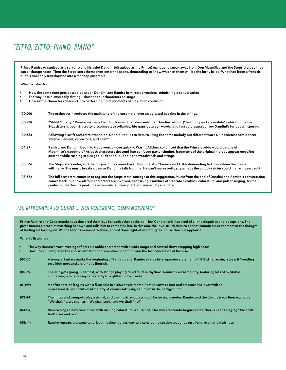## ["ZITTO, ZITTO: PIANO, PIANO"](https://www.metopera.org/globalassets/discover/education/audio-files/cenerentola/cenerentola.zitto-zitto-piano-piano.mp3)

Prince Ramiro (disguised as a servant) and his valet Dandini (disguised as the Prince) manage to sneak away from Don Magnifico and the Stepsisters so they can exchange notes. Then the Stepsisters themselves enter the scene, demanding to know which of them will be the lucky bride. What had been a frenetic duet is suddenly transformed into a madcap ensemble.

What to listen for:

- How the same tune gets passed between Dandini and Ramiro in mirrored versions, mimicking a conversation
- The way Rossini musically distinguishes the four characters on stage
- How all the characters descend into patter singing at moments of maximum confusion

| (00:00) | The orchestra introduces the main tune of the ensemble, over an agitated backing in the strings.                                                                                                                                                                                                                                                                              |
|---------|-------------------------------------------------------------------------------------------------------------------------------------------------------------------------------------------------------------------------------------------------------------------------------------------------------------------------------------------------------------------------------|
| (00:20) | "Shhh! Quietly!" Ramiro instructs Dandini. Ramiro then demands that Dandini tell him ("truthfully and accurately") which of the two<br>Stepsisters is best. Staccato (disconnected) syllables, big gaps between words, and fast coloratura convey Dandini's furious whispering.                                                                                               |
| (00:55) | Following a swift orchestral transition, Dandini replies to Ramiro using the same melody but different words. "In strictest confidence:<br>They're insolent, capricious, and vain!"                                                                                                                                                                                           |
| (01:27) | Ramiro and Dandini begin to trade words more quickly: Wasn't Alidoro convinced that the Prince's bride would be one of<br>Magnifico's daughters? As both characters descend into confused patter singing, fragments of the original melody appear one after<br>another while rushing scales get louder and louder in the woodwinds and strings.                               |
| (03:06) | The Stepsisters enter, and the original tune comes back. This time, it's Clorinda and Tisbe demanding to know whom the Prince<br>will marry. The music breaks down as Dandini stalls for time: He can't marry both, so perhaps the unlucky sister could marry his servant?                                                                                                    |
| (03:58) | The full orchestra comes in to register the Stepsisters' outrage at this suggestion. Music from the end of Dandini and Ramiro's conversation<br>comes back, but now all four characters are involved, each using a mixture of staccato syllables, coloratura, and patter singing. As the<br>confusion reaches its peak, the ensemble is interrupted (and ended) by a fanfare. |

### ["SÌ, RITROVARLA IO GUIRO … NOI VOLEREMO, DOMANDEREMO"](https://www.metopera.org/globalassets/discover/education/audio-files/cenerentola/cenerentola.si-ritrovarla-io-giuro--noi-voleremo-domanderemo.mp3)

Prince Ramiro and Cenerentola have declared their love for each other at the ball, but Cenerentola has tired of all the disguises and deceptions. She gives Ramiro a bracelet matching her own and tells him to come find her. In this aria, the love-struck Ramiro cannot contain his excitement at the thought of finding his love again. It's the tenor's moment to shine, and—if done right—it will bring the house down in applause.

What to listen for:

| The way Ramiro's vocal writing reflects his noble character, with a wide range and several show-stopping high notes<br>$\bullet$<br>How Rossini integrates the chorus into both the slow middle section and the fast conclusion of the aria<br>$\bullet$ |                                                                                                                                                                                                             |  |  |
|----------------------------------------------------------------------------------------------------------------------------------------------------------------------------------------------------------------------------------------------------------|-------------------------------------------------------------------------------------------------------------------------------------------------------------------------------------------------------------|--|--|
| (00:00)                                                                                                                                                                                                                                                  | A trumpet fanfare marks the beginning of Ramiro's aria. Ramiro sings a brief opening statement-"I'll find her again, I swear it"-ending<br>on a high note and a dramatic flourish.                          |  |  |
| (00:39)                                                                                                                                                                                                                                                  | The aria gets going in earnest, with strings playing rapid fanfare rhythms. Ramiro's vocal melody, featuring lots of excitable<br>coloratura, winds its way repeatedly to a glittering high note.           |  |  |
| (01:49)                                                                                                                                                                                                                                                  | A softer section begins with a flute solo in a slow triple meter. Ramiro vows to find and embrace his lover with an<br>impassioned, beautiful vocal melody. A chorus softly urges him on in the background. |  |  |
| (03:44)                                                                                                                                                                                                                                                  | The flutes and trumpets play a signal, and the music adopts a much faster triple meter. Ramiro and the chorus trade lines excitably:<br>"We shall fly, we shall ask! We shall seek, and we shall find!"     |  |  |
| (04:04)                                                                                                                                                                                                                                                  | Ramiro sings a new tune, filled with rushing coloratura. At (04:38), a Rossini crescendo begins as the chorus keeps singing "We shall<br>find" over and over.                                               |  |  |
| (05:11)                                                                                                                                                                                                                                                  | Ramiro repeats the same tune, but this time it gives way to a concluding section that ends on a long, dramatic high note.                                                                                   |  |  |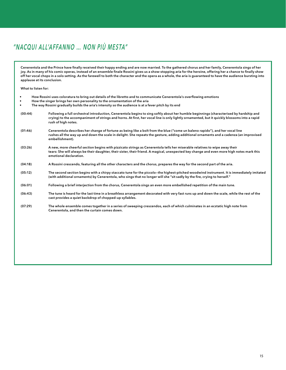# ["NACQUI ALL'AFFANNO … NON PIÙ MESTA"](https://www.metopera.org/globalassets/discover/education/audio-files/cenerentola/cenerentola.nacqui-allaffanno-non-piu-mesta.mp3)

Cenerentola and the Prince have finally received their happy ending and are now married. To the gathered chorus and her family, Cenerentola sings of her joy. As in many of his comic operas, instead of an ensemble finale Rossini gives us a show-stopping aria for the heroine, offering her a chance to finally show off her vocal chops in a solo setting. As the farewell to both the character and the opera as a whole, the aria is guaranteed to have the audience bursting into applause at its conclusion.

What to listen for:

| $\bullet$<br>٠ | How Rossini uses coloratura to bring out details of the libretto and to communicate Cenerentola's overflowing emotions<br>How the singer brings her own personality to the ornamentation of the aria                                                                                                          |
|----------------|---------------------------------------------------------------------------------------------------------------------------------------------------------------------------------------------------------------------------------------------------------------------------------------------------------------|
| ٠              | The way Rossini gradually builds the aria's intensity so the audience is at a fever pitch by its end                                                                                                                                                                                                          |
| (00:44)        | Following a full orchestral introduction, Cenerentola begins to sing softly about her humble beginnings (characterised by hardship and<br>crying) to the accompaniment of strings and horns. At first, her vocal line is only lightly ornamented, but it quickly blossoms into a rapid<br>rush of high notes. |
| (01:46)        | Cenerentola describes her change of fortune as being like a bolt from the blue ("come un baleno rapido"), and her vocal line<br>rushes all the way up and down the scale in delight. She repeats the gesture, adding additional ornaments and a cadenza (an improvised<br>embellishment).                     |
| (03:26)        | A new, more cheerful section begins with pizzicato strings as Cenerentola tells her miserable relatives to wipe away their<br>tears: She will always be their daughter, their sister, their friend. A magical, unexpected key change and even more high notes mark this<br>emotional declaration.             |
| (04:18)        | A Rossini crescendo, featuring all the other characters and the chorus, prepares the way for the second part of the aria.                                                                                                                                                                                     |
| (05:12)        | The second section begins with a chirpy staccato tune for the piccolo-the highest-pitched woodwind instrument. It is immediately imitated<br>(with additional ornaments) by Cenerentola, who sings that no longer will she "sit sadly by the fire, crying to herself."                                        |
| (06:01)        | Following a brief interjection from the chorus, Cenerentola sings an even more embellished repetition of the main tune.                                                                                                                                                                                       |
| (06:43)        | The tune is heard for the last time in a breathless arrangement decorated with very fast runs up and down the scale, while the rest of the<br>cast provides a quiet backdrop of chopped-up syllables.                                                                                                         |
| (07:29)        | The whole ensemble comes together in a series of sweeping crescendos, each of which culminates in an ecstatic high note from<br>Cenerentola, and then the curtain comes down.                                                                                                                                 |
|                |                                                                                                                                                                                                                                                                                                               |
|                |                                                                                                                                                                                                                                                                                                               |
|                |                                                                                                                                                                                                                                                                                                               |
|                |                                                                                                                                                                                                                                                                                                               |
|                |                                                                                                                                                                                                                                                                                                               |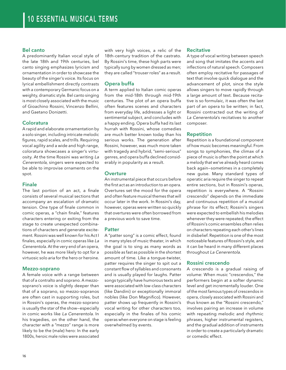### Bel canto

A predominantly Italian vocal style of the late 18th and 19th centuries, bel canto singing emphasizes lyricism and ornamentation in order to showcase the beauty of the singer's voice. Its focus on lyrical embellishment directly contrasts with a contemporary Germanic focus on a weighty, dramatic style. Bel canto singing is most closely associated with the music of Gioachino Rossini, Vincenzo Bellini, and Gaetano Donizetti.

### Coloratura

A rapid and elaborate ornamentation by a solo singer, including intricate melodic figures, rapid scales, and trills. Requiring vocal agility and a wide and high range, coloratura showcases a singer's virtuosity. At the time Rossini was writing La Cenerentola, singers were expected to be able to improvise ornaments on the spot.

### Finale

The last portion of an act, a finale consists of several musical sections that accompany an escalation of dramatic tension. One type of finale common in comic operas, a "chain finale," features characters entering or exiting from the stage to create unexpected combinations of characters and generate excitement. Rossini was well known for his Act I finales, especially in comic operas like La Cenerentola. At the very end of an opera, however, he was more likely to opt for a virtuosic solo aria for the hero or heroine.

### Mezzo-soprano

A female voice with a range between that of a contralto and soprano. A mezzosoprano's voice is slightly deeper than that of a soprano, so mezzo-sopranos are often cast in supporting roles, but in Rossini's operas, the mezzo-soprano is usually the star of the show—especially in comic works like La Cenerentola. In his tragedies, on the other hand, the character with a "mezzo" range is more likely to be the (male) hero: In the early 1800s, heroic male roles were associated

with very high voices, a relic of the 18th-century tradition of the castrato. By Rossini's time, these high parts were typically sung by women dressed as men; they are called "trouser roles" as a result.

### Opera buffa

A term applied to Italian comic operas from the mid-18th through mid-19th centuries. The plot of an opera buffa often features scenes and characters from everyday life, addresses a light or sentimental subject, and concludes with a happy ending. Opera buffa had its last hurrah with Rossini, whose comedies are much better known today than his serious works. The generation after Rossini, however, was much more taken with tragedy and hybrid, "semi-serious" genres, and opera buffa declined considerably in popularity as a result.

### **Overture**

An instrumental piece that occurs before the first act as an introduction to an opera. Overtures set the mood for the opera and often feature musical themes that will occur later in the work. In Rossini's day, however, operas were written so quickly that overtures were often borrowed from a previous work to save time.

### Patter

A "patter song" is a comic effect, found in many styles of music theater, in which the goal is to sing as many words as possible as fast as possible in the shortest amount of time. Like a tongue-twister, patter requires the singer to spit out a constant flow of syllables and consonants and is usually played for laughs. Patter songs typically have humorous texts and were associated with low-class characters (like Dandini) or exceptionally immoral nobles (like Don Magnifico). However, patter shows up frequently in Rossini's vocal writing for other characters too, especially in the finales of his comic operas when everyone on stage is feeling overwhelmed by events.

### **Recitative**

A type of vocal writing between speech and song that imitates the accents and inflections of natural speech. Composers often employ recitative for passages of text that involve quick dialogue and the advancement of plot, since the style allows singers to move rapidly through a large amount of text. Because recitative is so formulaic, it was often the last part of an opera to be written; in fact, Rossini contracted out the writing of La Cenerentola's recitatives to another composer.

### Repetition

Repetition is a foundational component of how music becomes meaningful. From songs to symphonies, the climax of a piece of music is often the point at which a melody that we've already heard comes back again—sometimes in a completely new guise. Many standard types of operatic aria require the singer to repeat entire sections, but in Rossini's operas, repetition is everywhere. A "Rossini crescendo" depends on the immediate and continuous repetition of a musical phrase for its effect; Rossini's singers were expected to embellish his melodies whenever they were repeated; the effect of Rossini's comic ensembles often relies on characters repeating each other's lines in disbelief. Repetition is one of the most noticeable features of Rossini's style, and it can be heard in many different places throughout La Cenerentola.

### Rossini crescendo

A crescendo is a gradual raising of volume: When music "crescendos," the performers begin at a softer dynamic level and get incrementally louder. One of the most famous types of crescendos in opera, closely associated with Rossini and thus known as the "Rossini crescendo," involves pairing an increase in volume with repeating melodic and rhythmic phrases, higher instrumental registers, and the gradual addition of instruments in order to create a particularly dramatic or comedic effect.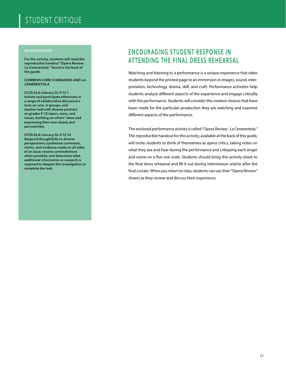# STUDENT CRITIQUE

#### IN PREPARATION

For this activity, students will need the reproducible handout "Opera Review: La Cenerentola," found in the back of this guide.

COMMON CORE STANDARDS AND LA **CENERENTOLA** 

CCSS.ELA-Literacy.SL.9-12.1 Initiate and participate effectively in a range of collaborative discussions (one-on-one, in groups, and teacher-led) with diverse partners on grades 9–12 topics, texts, and issues, building on others' ideas and expressing their own clearly and persuasively.

CCSS.ELA-Literacy.SL.9-12.1d Respond thoughtfully to diverse perspectives; synthesize comments, claims, and evidence made on all sides of an issue; resolve contradictions when possible; and determine what additional information or research is required to deepen the investigation or complete the task.

### ENCOURAGING STUDENT RESPONSE IN ATTENDING THE FINAL DRESS REHEARSAL

Watching and listening to a performance is a unique experience that takes students beyond the printed page to an immersion in images, sound, interpretation, technology, drama, skill, and craft. Performance activities help students analyze different aspects of the experience and engage critically with the performance. Students will consider the creative choices that have been made for the particular production they are watching and examine different aspects of the performance.

The enclosed performance activity is called "Opera Review: La Cenerentola." The reproducible handout for this activity, available at the back of this guide, will invite students to think of themselves as opera critics, taking notes on what they see and hear during the performance and critiquing each singer and scene on a five-star scale. Students should bring this activity sheet to the final dress rehearsal and fill it out during intermission and/or after the final curtain. When you return to class, students can use their "Opera Review" sheets as they review and discuss their experience.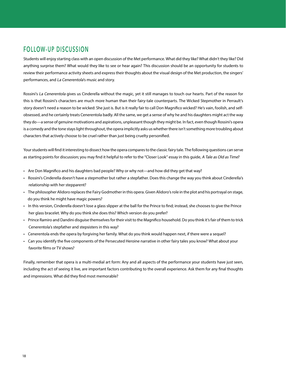### FOLLOW-UP DISCUSSION

Students will enjoy starting class with an open discussion of the Met performance. What did they like? What didn't they like? Did anything surprise them? What would they like to see or hear again? This discussion should be an opportunity for students to review their performance activity sheets and express their thoughts about the visual design of the Met production, the singers' performances, and La Cenerentola's music and story.

Rossini's La Cenerentola gives us Cinderella without the magic, yet it still manages to touch our hearts. Part of the reason for this is that Rossini's characters are much more human than their fairy-tale counterparts. The Wicked Stepmother in Perrault's story doesn't need a reason to be wicked: She just is. But is it really fair to call Don Magnifico wicked? He's vain, foolish, and selfobsessed, and he certainly treats Cenerentola badly. All the same, we get a sense of why he and his daughters might act the way they do—a sense of genuine motivations and aspirations, unpleasant though they might be. In fact, even though Rossini's opera is a comedy and the tone stays light throughout, the opera implicitly asks us whether there isn't something more troubling about characters that actively choose to be cruel rather than just being cruelty personified.

Your students will find it interesting to dissect how the opera compares to the classic fairy tale. The following questions can serve as starting points for discussion; you may find it helpful to refer to the "Closer Look" essay in this guide, A Tale as Old as Time?

- Are Don Magnifico and his daughters bad people? Why or why not—and how did they get that way?
- Rossini's Cinderella doesn't have a stepmother but rather a stepfather. Does this change the way you think about Cinderella's relationship with her stepparent?
- The philosopher Alidoro replaces the Fairy Godmother in this opera. Given Alidoro's role in the plot and his portrayal on stage, do you think he might have magic powers?
- In this version, Cinderella doesn't lose a glass slipper at the ball for the Prince to find; instead, she chooses to give the Prince her glass bracelet. Why do you think she does this? Which version do you prefer?
- Prince Ramiro and Dandini disguise themselves for their visit to the Magnifico household. Do you think it's fair of them to trick Cenerentola's stepfather and stepsisters in this way?
- Cenerentola ends the opera by forgiving her family. What do you think would happen next, if there were a sequel?
- Can you identify the five components of the Persecuted Heroine narrative in other fairy tales you know? What about your favorite films or TV shows?

Finally, remember that opera is a multi-medial art form: Any and all aspects of the performance your students have just seen, including the act of seeing it live, are important factors contributing to the overall experience. Ask them for any final thoughts and impressions. What did they find most memorable?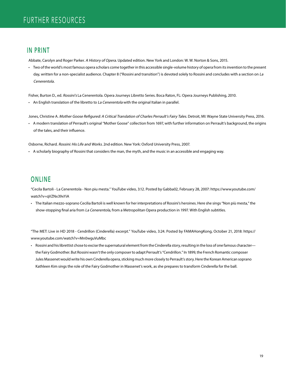### IN PRINT

Abbate, Carolyn and Roger Parker. A History of Opera. Updated edition. New York and London: W. W. Norton & Sons, 2015.

• Two of the world's most famous opera scholars come together in this accessible single-volume history of opera from its invention to the present day, written for a non-specialist audience. Chapter 8 ("Rossini and transition") is devoted solely to Rossini and concludes with a section on La Cenerentola.

Fisher, Burton D., ed. Rossini's La Cenerentola. Opera Journeys Libretto Series. Boca Raton, FL: Opera Journeys Publishing, 2010.

• An English translation of the libretto to La Cenerentola with the original Italian in parallel.

Jones, Christine A. Mother Goose Refigured: A Critical Translation of Charles Perrault's Fairy Tales. Detroit, MI: Wayne State University Press, 2016.

• A modern translation of Perrault's original "Mother Goose" collection from 1697, with further information on Perrault's background, the origins of the tales, and their influence.

Osborne, Richard. Rossini: His Life and Works. 2nd edition. New York: Oxford University Press, 2007.

• A scholarly biography of Rossini that considers the man, the myth, and the music in an accessible and engaging way.

### ONLINE

"Cecila Bartoli - La Cenerentola - Non piu mesta." YouTube video, 3:12. Posted by Gabba02, February 28, 2007: https://www.youtube.com/ watch?v=qVZNx39xYiA

• The Italian mezzo-soprano Cecilia Bartoli is well known for her interpretations of Rossini's heroines. Here she sings "Non più mesta," the show-stopping final aria from La Cenerentola, from a Metropolitan Opera production in 1997. With English subtitles.

"The MET: Live in HD 2018 - Cendrillon (Cinderella) excerpt." YouTube video, 3:24. Posted by FAMAHongKong, October 21, 2018: https:// www.youtube.com/watch?v=Mn0wguVuMbc

• Rossini and his librettist chose to excise the supernatural element from the Cinderella story, resulting in the loss of one famous character the Fairy Godmother. But Rossini wasn't the only composer to adapt Perrault's "Cendrillon." In 1899, the French Romantic composer Jules Massenet would write his own Cinderella opera, sticking much more closely to Perrault's story. Here the Korean American soprano Kathleen Kim sings the role of the Fairy Godmother in Massenet's work, as she prepares to transform Cinderella for the ball.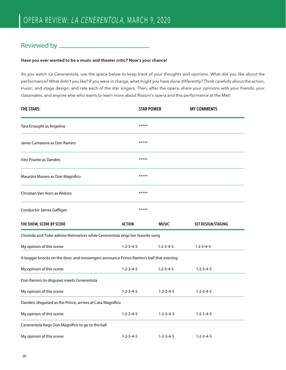### Reviewed by

### Have you ever wanted to be a music and theater critic? Now's your chance!

As you watch La Cenerentola, use the space below to keep track of your thoughts and opinions. What did you like about the performance? What didn't you like? If you were in charge, what might you have done differently? Think carefully about the action, music, and stage design, and rate each of the star singers. Then, after the opera, share your opinions with your friends, your classmates, and anyone else who wants to learn more about Rossini's opera and this performance at the Met!

| THE STARS:                                                                             |                     | <b>STAR POWER</b>   | <b>MY COMMENTS</b>        |  |  |
|----------------------------------------------------------------------------------------|---------------------|---------------------|---------------------------|--|--|
| Tara Erraught as Angelina                                                              | *****               |                     |                           |  |  |
| Javier Camarena as Don Ramiro                                                          | *****               |                     |                           |  |  |
| Vito Priante as Dandini                                                                | *****               |                     |                           |  |  |
| Maurizio Muraro as Don Magnifico                                                       | *****               |                     |                           |  |  |
| Christian Van Horn as Alidoro                                                          | *****               |                     |                           |  |  |
| Conductor James Gaffigan                                                               | *****               |                     |                           |  |  |
| THE SHOW, SCENE BY SCENE                                                               | <b>ACTION</b>       | <b>MUSIC</b>        | <b>SET DESIGN/STAGING</b> |  |  |
| Clorinda and Tisbe admire themselves while Cenerentola sings her favorite song         |                     |                     |                           |  |  |
| My opinion of this scene:                                                              | $1 - 2 - 3 - 4 - 5$ | $1 - 2 - 3 - 4 - 5$ | $1 - 2 - 3 - 4 - 5$       |  |  |
| A beggar knocks on the door, and messengers announce Prince Ramiro's ball that evening |                     |                     |                           |  |  |
| My opinion of this scene:                                                              | $1 - 2 - 3 - 4 - 5$ | $1 - 2 - 3 - 4 - 5$ | $1 - 2 - 3 - 4 - 5$       |  |  |
| Don Ramiro (in disguise) meets Cenerentola                                             |                     |                     |                           |  |  |
| My opinion of this scene:                                                              | $1 - 2 - 3 - 4 - 5$ | $1 - 2 - 3 - 4 - 5$ | $1 - 2 - 3 - 4 - 5$       |  |  |
| Dandini, disguised as the Prince, arrives at Casa Magnifico                            |                     |                     |                           |  |  |
| My opinion of this scene:                                                              | $1 - 2 - 3 - 4 - 5$ | $1 - 2 - 3 - 4 - 5$ | $1 - 2 - 3 - 4 - 5$       |  |  |
| Cenerentola begs Don Magnifico to go to the ball                                       |                     |                     |                           |  |  |
| My opinion of this scene:                                                              | $1 - 2 - 3 - 4 - 5$ | $1 - 2 - 3 - 4 - 5$ | $1 - 2 - 3 - 4 - 5$       |  |  |